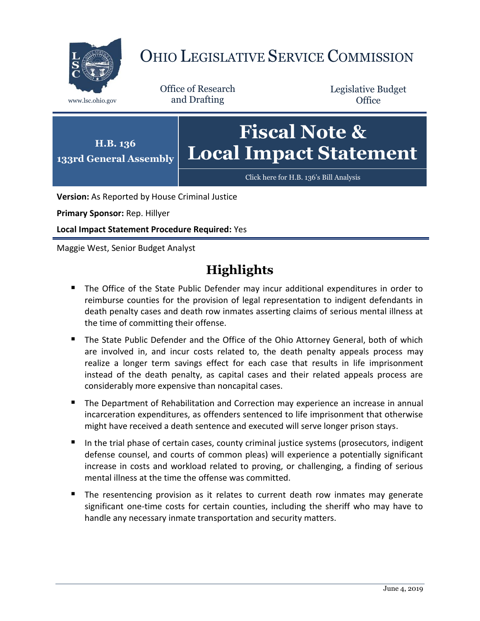

# OHIO LEGISLATIVE SERVICE COMMISSION

Office of Research www.lsc.ohio.gov and Drafting

Legislative Budget **Office** 



**Version:** As Reported by House Criminal Justice

**Primary Sponsor:** Rep. Hillyer

**Local Impact Statement Procedure Required:** Yes

Maggie West, Senior Budget Analyst

# **Highlights**

- **The Office of the State Public Defender may incur additional expenditures in order to** reimburse counties for the provision of legal representation to indigent defendants in death penalty cases and death row inmates asserting claims of serious mental illness at the time of committing their offense.
- The State Public Defender and the Office of the Ohio Attorney General, both of which are involved in, and incur costs related to, the death penalty appeals process may realize a longer term savings effect for each case that results in life imprisonment instead of the death penalty, as capital cases and their related appeals process are considerably more expensive than noncapital cases.
- **The Department of Rehabilitation and Correction may experience an increase in annual** incarceration expenditures, as offenders sentenced to life imprisonment that otherwise might have received a death sentence and executed will serve longer prison stays.
- In the trial phase of certain cases, county criminal justice systems (prosecutors, indigent defense counsel, and courts of common pleas) will experience a potentially significant increase in costs and workload related to proving, or challenging, a finding of serious mental illness at the time the offense was committed.
- The resentencing provision as it relates to current death row inmates may generate significant one-time costs for certain counties, including the sheriff who may have to handle any necessary inmate transportation and security matters.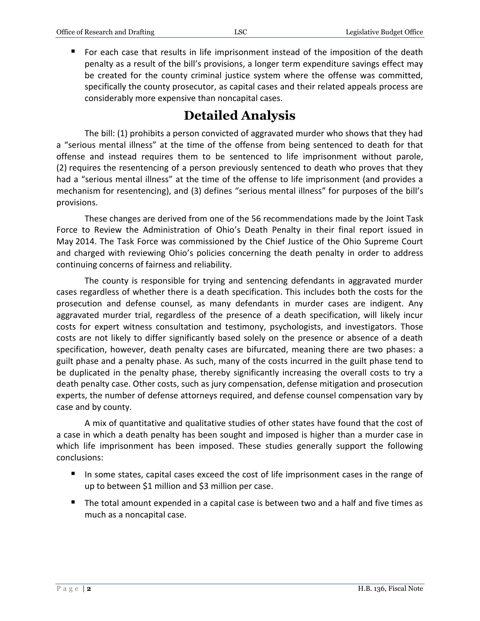For each case that results in life imprisonment instead of the imposition of the death penalty as a result of the bill's provisions, a longer term expenditure savings effect may be created for the county criminal justice system where the offense was committed, specifically the county prosecutor, as capital cases and their related appeals process are considerably more expensive than noncapital cases.

# **Detailed Analysis**

The bill: (1) prohibits a person convicted of aggravated murder who shows that they had a "serious mental illness" at the time of the offense from being sentenced to death for that offense and instead requires them to be sentenced to life imprisonment without parole, (2) requires the resentencing of a person previously sentenced to death who proves that they had a "serious mental illness" at the time of the offense to life imprisonment (and provides a mechanism for resentencing), and (3) defines "serious mental illness" for purposes of the bill's provisions.

These changes are derived from one of the 56 recommendations made by the Joint Task Force to Review the Administration of Ohio's Death Penalty in their final report issued in May 2014. The Task Force was commissioned by the Chief Justice of the Ohio Supreme Court and charged with reviewing Ohio's policies concerning the death penalty in order to address continuing concerns of fairness and reliability.

The county is responsible for trying and sentencing defendants in aggravated murder cases regardless of whether there is a death specification. This includes both the costs for the prosecution and defense counsel, as many defendants in murder cases are indigent. Any aggravated murder trial, regardless of the presence of a death specification, will likely incur costs for expert witness consultation and testimony, psychologists, and investigators. Those costs are not likely to differ significantly based solely on the presence or absence of a death specification, however, death penalty cases are bifurcated, meaning there are two phases: a guilt phase and a penalty phase. As such, many of the costs incurred in the guilt phase tend to be duplicated in the penalty phase, thereby significantly increasing the overall costs to try a death penalty case. Other costs, such as jury compensation, defense mitigation and prosecution experts, the number of defense attorneys required, and defense counsel compensation vary by case and by county.

A mix of quantitative and qualitative studies of other states have found that the cost of a case in which a death penalty has been sought and imposed is higher than a murder case in which life imprisonment has been imposed. These studies generally support the following conclusions:

- In some states, capital cases exceed the cost of life imprisonment cases in the range of up to between \$1 million and \$3 million per case.
- The total amount expended in a capital case is between two and a half and five times as much as a noncapital case.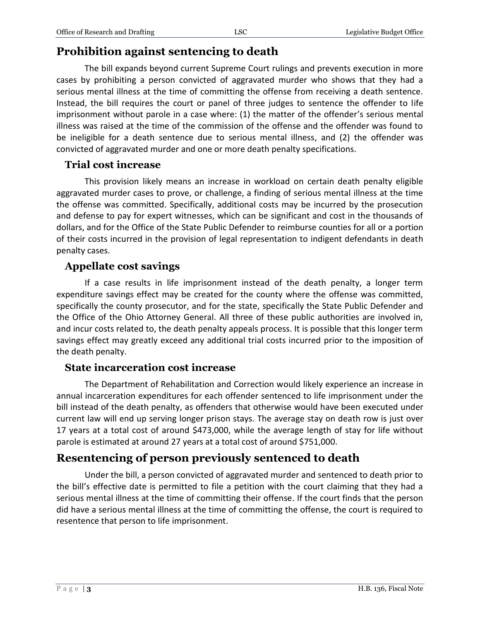### **Prohibition against sentencing to death**

The bill expands beyond current Supreme Court rulings and prevents execution in more cases by prohibiting a person convicted of aggravated murder who shows that they had a serious mental illness at the time of committing the offense from receiving a death sentence. Instead, the bill requires the court or panel of three judges to sentence the offender to life imprisonment without parole in a case where: (1) the matter of the offender's serious mental illness was raised at the time of the commission of the offense and the offender was found to be ineligible for a death sentence due to serious mental illness, and (2) the offender was convicted of aggravated murder and one or more death penalty specifications.

#### **Trial cost increase**

This provision likely means an increase in workload on certain death penalty eligible aggravated murder cases to prove, or challenge, a finding of serious mental illness at the time the offense was committed. Specifically, additional costs may be incurred by the prosecution and defense to pay for expert witnesses, which can be significant and cost in the thousands of dollars, and for the Office of the State Public Defender to reimburse counties for all or a portion of their costs incurred in the provision of legal representation to indigent defendants in death penalty cases.

#### **Appellate cost savings**

If a case results in life imprisonment instead of the death penalty, a longer term expenditure savings effect may be created for the county where the offense was committed, specifically the county prosecutor, and for the state, specifically the State Public Defender and the Office of the Ohio Attorney General. All three of these public authorities are involved in, and incur costs related to, the death penalty appeals process. It is possible that this longer term savings effect may greatly exceed any additional trial costs incurred prior to the imposition of the death penalty.

#### **State incarceration cost increase**

The Department of Rehabilitation and Correction would likely experience an increase in annual incarceration expenditures for each offender sentenced to life imprisonment under the bill instead of the death penalty, as offenders that otherwise would have been executed under current law will end up serving longer prison stays. The average stay on death row is just over 17 years at a total cost of around \$473,000, while the average length of stay for life without parole is estimated at around 27 years at a total cost of around \$751,000.

## **Resentencing of person previously sentenced to death**

Under the bill, a person convicted of aggravated murder and sentenced to death prior to the bill's effective date is permitted to file a petition with the court claiming that they had a serious mental illness at the time of committing their offense. If the court finds that the person did have a serious mental illness at the time of committing the offense, the court is required to resentence that person to life imprisonment.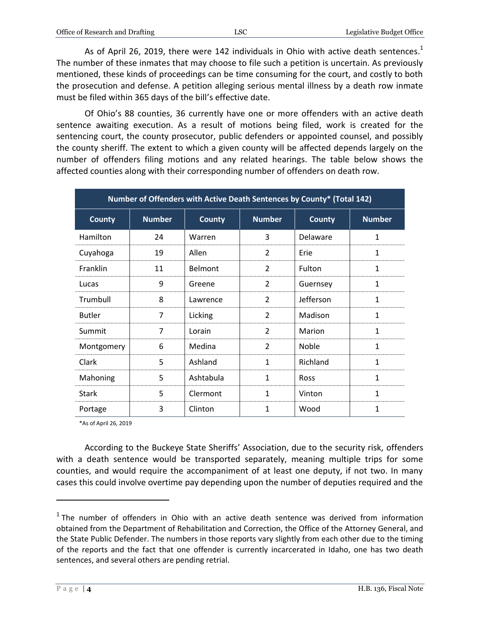As of April 26, 2019, there were 142 individuals in Ohio with active death sentences.<sup>1</sup> The number of these inmates that may choose to file such a petition is uncertain. As previously mentioned, these kinds of proceedings can be time consuming for the court, and costly to both the prosecution and defense. A petition alleging serious mental illness by a death row inmate must be filed within 365 days of the bill's effective date.

Of Ohio's 88 counties, 36 currently have one or more offenders with an active death sentence awaiting execution. As a result of motions being filed, work is created for the sentencing court, the county prosecutor, public defenders or appointed counsel, and possibly the county sheriff. The extent to which a given county will be affected depends largely on the number of offenders filing motions and any related hearings. The table below shows the affected counties along with their corresponding number of offenders on death row.

| Number of Offenders with Active Death Sentences by County* (Total 142) |               |                |                |               |               |
|------------------------------------------------------------------------|---------------|----------------|----------------|---------------|---------------|
| <b>County</b>                                                          | <b>Number</b> | <b>County</b>  | <b>Number</b>  | <b>County</b> | <b>Number</b> |
| Hamilton                                                               | 24            | Warren         | 3              | Delaware      | 1             |
| Cuyahoga                                                               | 19            | Allen          | 2              | Erie          | $\mathbf{1}$  |
| Franklin                                                               | 11            | <b>Belmont</b> | $\overline{2}$ | Fulton        | $\mathbf{1}$  |
| Lucas                                                                  | 9             | Greene         | $\overline{2}$ | Guernsey      | $\mathbf{1}$  |
| Trumbull                                                               | 8             | Lawrence       | $\overline{2}$ | Jefferson     | $\mathbf{1}$  |
| <b>Butler</b>                                                          | 7             | Licking        | $\overline{2}$ | Madison       | 1             |
| Summit                                                                 | 7             | Lorain         | $\overline{2}$ | Marion        | $\mathbf{1}$  |
| Montgomery                                                             | 6             | Medina         | $\overline{2}$ | Noble         | $\mathbf{1}$  |
| Clark                                                                  | 5             | Ashland        | 1              | Richland      | 1             |
| Mahoning                                                               | 5             | Ashtabula      | 1              | <b>Ross</b>   | 1             |
| Stark                                                                  | 5             | Clermont       | 1              | Vinton        | 1             |
| Portage                                                                | 3             | Clinton        | 1              | Wood          | 1             |

\*As of April 26, 2019

According to the Buckeye State Sheriffs' Association, due to the security risk, offenders with a death sentence would be transported separately, meaning multiple trips for some counties, and would require the accompaniment of at least one deputy, if not two. In many cases this could involve overtime pay depending upon the number of deputies required and the

 $\overline{a}$ 

 $1$  The number of offenders in Ohio with an active death sentence was derived from information obtained from the Department of Rehabilitation and Correction, the Office of the Attorney General, and the State Public Defender. The numbers in those reports vary slightly from each other due to the timing of the reports and the fact that one offender is currently incarcerated in Idaho, one has two death sentences, and several others are pending retrial.